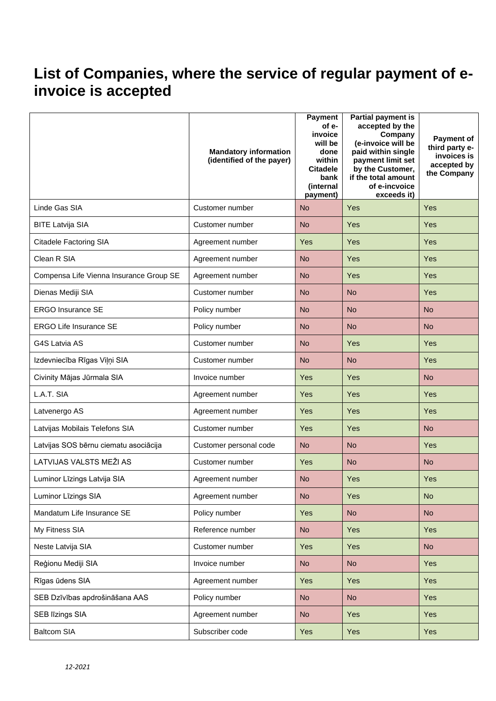## **List of Companies, where the service of regular payment of einvoice is accepted**

|                                         | <b>Mandatory information</b><br>(identified of the payer) | Payment<br>of e-<br>invoice<br>will be<br>done<br>within<br><b>Citadele</b><br>bank<br>(internal<br>payment) | Partial payment is<br>accepted by the<br>Company<br>(e-invoice will be<br>paid within single<br>payment limit set<br>by the Customer,<br>if the total amount<br>of e-incvoice<br>exceeds it) | <b>Payment of</b><br>third party e-<br>invoices is<br>accepted by<br>the Company |
|-----------------------------------------|-----------------------------------------------------------|--------------------------------------------------------------------------------------------------------------|----------------------------------------------------------------------------------------------------------------------------------------------------------------------------------------------|----------------------------------------------------------------------------------|
| Linde Gas SIA                           | Customer number                                           | <b>No</b>                                                                                                    | Yes                                                                                                                                                                                          | Yes                                                                              |
| <b>BITE Latvija SIA</b>                 | Customer number                                           | <b>No</b>                                                                                                    | Yes                                                                                                                                                                                          | Yes                                                                              |
| Citadele Factoring SIA                  | Agreement number                                          | Yes                                                                                                          | Yes                                                                                                                                                                                          | Yes                                                                              |
| Clean R SIA                             | Agreement number                                          | <b>No</b>                                                                                                    | Yes                                                                                                                                                                                          | Yes                                                                              |
| Compensa Life Vienna Insurance Group SE | Agreement number                                          | <b>No</b>                                                                                                    | Yes                                                                                                                                                                                          | Yes                                                                              |
| Dienas Mediji SIA                       | Customer number                                           | <b>No</b>                                                                                                    | <b>No</b>                                                                                                                                                                                    | Yes                                                                              |
| <b>ERGO Insurance SE</b>                | Policy number                                             | <b>No</b>                                                                                                    | <b>No</b>                                                                                                                                                                                    | <b>No</b>                                                                        |
| <b>ERGO Life Insurance SE</b>           | Policy number                                             | <b>No</b>                                                                                                    | <b>No</b>                                                                                                                                                                                    | <b>No</b>                                                                        |
| G4S Latvia AS                           | Customer number                                           | <b>No</b>                                                                                                    | Yes                                                                                                                                                                                          | Yes                                                                              |
| Izdevniecība Rīgas Viļņi SIA            | Customer number                                           | <b>No</b>                                                                                                    | <b>No</b>                                                                                                                                                                                    | Yes                                                                              |
| Civinity Mājas Jūrmala SIA              | Invoice number                                            | Yes                                                                                                          | Yes                                                                                                                                                                                          | <b>No</b>                                                                        |
| L.A.T. SIA                              | Agreement number                                          | Yes                                                                                                          | Yes                                                                                                                                                                                          | Yes                                                                              |
| Latvenergo AS                           | Agreement number                                          | Yes                                                                                                          | Yes                                                                                                                                                                                          | Yes                                                                              |
| Latvijas Mobilais Telefons SIA          | Customer number                                           | Yes                                                                                                          | Yes                                                                                                                                                                                          | <b>No</b>                                                                        |
| Latvijas SOS bērnu ciematu asociācija   | Customer personal code                                    | <b>No</b>                                                                                                    | <b>No</b>                                                                                                                                                                                    | Yes                                                                              |
| LATVIJAS VALSTS MEŽI AS                 | Customer number                                           | <b>Yes</b>                                                                                                   | <b>No</b>                                                                                                                                                                                    | <b>No</b>                                                                        |
| Luminor Līzings Latvija SIA             | Agreement number                                          | <b>No</b>                                                                                                    | Yes                                                                                                                                                                                          | Yes                                                                              |
| Luminor Līzings SIA                     | Agreement number                                          | <b>No</b>                                                                                                    | Yes                                                                                                                                                                                          | <b>No</b>                                                                        |
| Mandatum Life Insurance SE              | Policy number                                             | Yes                                                                                                          | <b>No</b>                                                                                                                                                                                    | <b>No</b>                                                                        |
| My Fitness SIA                          | Reference number                                          | <b>No</b>                                                                                                    | Yes                                                                                                                                                                                          | <b>Yes</b>                                                                       |
| Neste Latvija SIA                       | Customer number                                           | Yes                                                                                                          | Yes                                                                                                                                                                                          | <b>No</b>                                                                        |
| Reģionu Mediji SIA                      | Invoice number                                            | <b>No</b>                                                                                                    | <b>No</b>                                                                                                                                                                                    | Yes                                                                              |
| Rīgas ūdens SIA                         | Agreement number                                          | Yes                                                                                                          | Yes                                                                                                                                                                                          | Yes                                                                              |
| SEB Dzīvības apdrošināšana AAS          | Policy number                                             | <b>No</b>                                                                                                    | <b>No</b>                                                                                                                                                                                    | Yes                                                                              |
| <b>SEB līzings SIA</b>                  | Agreement number                                          | <b>No</b>                                                                                                    | Yes                                                                                                                                                                                          | Yes                                                                              |
| <b>Baltcom SIA</b>                      | Subscriber code                                           | Yes                                                                                                          | Yes                                                                                                                                                                                          | Yes                                                                              |